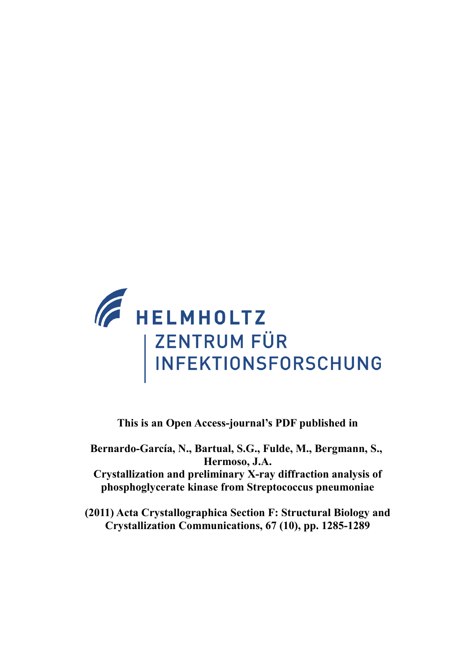

**This is an Open Access-journal's PDF published in**

**Bernardo-García, N., Bartual, S.G., Fulde, M., Bergmann, S., Hermoso, J.A. Crystallization and preliminary X-ray diffraction analysis of phosphoglycerate kinase from Streptococcus pneumoniae**

**(2011) Acta Crystallographica Section F: Structural Biology and Crystallization Communications, 67 (10), pp. 1285-1289**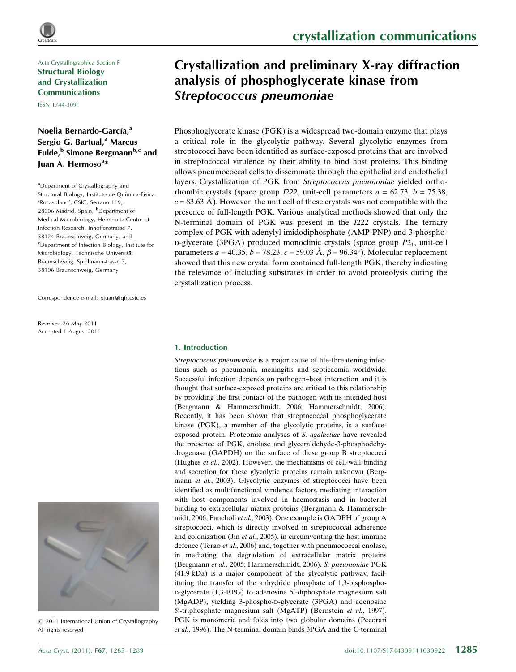Acta Crystallographica Section F Structural Biology and Crystallization Communications

ISSN 1744-3091

## Noelia Bernardo-García,<sup>a</sup> Sergio G. Bartual,<sup>a</sup> Marcus Fulde,<sup>b</sup> Simone Bergmann<sup>b,c</sup> and Juan A. Hermoso<sup>a</sup>\*

<sup>a</sup>Department of Crystallography and Structural Biology, Instituto de Química-Física 'Rocasolano', CSIC, Serrano 119, 28006 Madrid, Spain, <sup>b</sup>Department of Medical Microbiology, Helmholtz Centre of Infection Research, Inhoffenstrasse 7, 38124 Braunschweig, Germany, and <sup>c</sup>Department of Infection Biology, Institute for Microbiology, Technische Universität Braunschweig, Spielmannstrasse 7, 38106 Braunschweig, Germany

Correspondence e-mail: [xjuan@iqfr.csic.es](http://scripts.iucr.org/cgi-bin/cr.cgi?rm=pdfbb&cnor=bo5091&bbid=BB2)

Received 26 May 2011 Accepted 1 August 2011



 $\circled{c}$  2011 International Union of Crystallography All rights reserved

# Crystallization and preliminary X-ray diffraction analysis of phosphoglycerate kinase from Streptococcus pneumoniae

Phosphoglycerate kinase (PGK) is a widespread two-domain enzyme that plays a critical role in the glycolytic pathway. Several glycolytic enzymes from streptococci have been identified as surface-exposed proteins that are involved in streptococcal virulence by their ability to bind host proteins. This binding allows pneumococcal cells to disseminate through the epithelial and endothelial layers. Crystallization of PGK from Streptococcus pneumoniae yielded orthorhombic crystals (space group  $I222$ , unit-cell parameters  $a = 62.73$ ,  $b = 75.38$ ,  $c = 83.63$  Å). However, the unit cell of these crystals was not compatible with the presence of full-length PGK. Various analytical methods showed that only the N-terminal domain of PGK was present in the I222 crystals. The ternary complex of PGK with adenylyl imidodiphosphate (AMP-PNP) and 3-phospho $p$ -glycerate (3PGA) produced monoclinic crystals (space group  $P2<sub>1</sub>$ , unit-cell parameters  $a = 40.35, b = 78.23, c = 59.03 \text{ Å}, \beta = 96.34^{\circ}$ ). Molecular replacement showed that this new crystal form contained full-length PGK, thereby indicating the relevance of including substrates in order to avoid proteolysis during the crystallization process.

## 1. Introduction

Streptococcus pneumoniae is a major cause of life-threatening infections such as pneumonia, meningitis and septicaemia worldwide. Successful infection depends on pathogen–host interaction and it is thought that surface-exposed proteins are critical to this relationship by providing the first contact of the pathogen with its intended host (Bergmann & Hammerschmidt, 2006; Hammerschmidt, 2006). Recently, it has been shown that streptococcal phosphoglycerate kinase (PGK), a member of the glycolytic proteins, is a surfaceexposed protein. Proteomic analyses of S. agalactiae have revealed the presence of PGK, enolase and glyceraldehyde-3-phosphodehydrogenase (GAPDH) on the surface of these group B streptococci (Hughes et al., 2002). However, the mechanisms of cell-wall binding and secretion for these glycolytic proteins remain unknown (Bergmann et al., 2003). Glycolytic enzymes of streptococci have been identified as multifunctional virulence factors, mediating interaction with host components involved in haemostasis and in bacterial binding to extracellular matrix proteins (Bergmann & Hammerschmidt, 2006; Pancholi et al., 2003). One example is GADPH of group A streptococci, which is directly involved in streptococcal adherence and colonization (Jin et al., 2005), in circumventing the host immune defence (Terao et al., 2006) and, together with pneumococcal enolase, in mediating the degradation of extracellular matrix proteins (Bergmann et al., 2005; Hammerschmidt, 2006). S. pneumoniae PGK (41.9 kDa) is a major component of the glycolytic pathway, facilitating the transfer of the anhydride phosphate of 1,3-bisphospho-D-glycerate (1,3-BPG) to adenosine 5'-diphosphate magnesium salt  $(MgADP)$ , yielding 3-phospho-p-glycerate (3PGA) and adenosine 5'-triphosphate magnesium salt (MgATP) (Bernstein et al., 1997). PGK is monomeric and folds into two globular domains (Pecorari et al., 1996). The N-terminal domain binds 3PGA and the C-terminal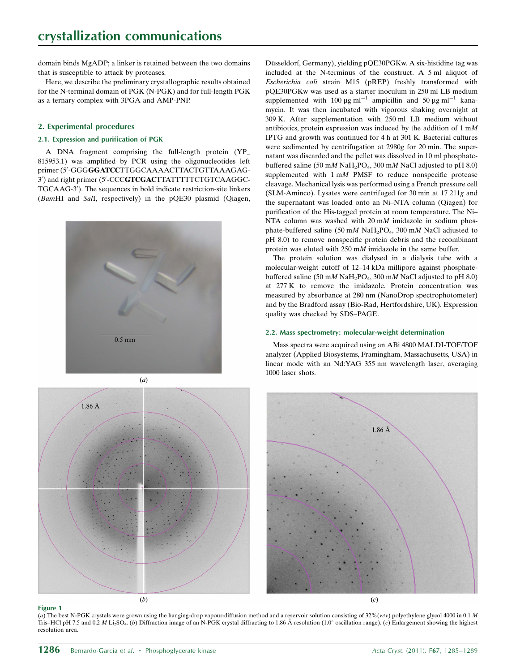domain binds MgADP; a linker is retained between the two domains that is susceptible to attack by proteases.

Here, we describe the preliminary crystallographic results obtained for the N-terminal domain of PGK (N-PGK) and for full-length PGK as a ternary complex with 3PGA and AMP-PNP.

## 2. Experimental procedures

## 2.1. Expression and purification of PGK

A DNA fragment comprising the full-length protein (YP\_ 815953.1) was amplified by PCR using the oligonucleotides left primer (5'-GGGGGATCCTTGGCAAAACTTACTGTTAAAGAG-3') and right primer (5'-CCCGTCGACTTATTTTTCTGTCAAGGC-TGCAAG-3'). The sequences in bold indicate restriction-site linkers (BamHI and SalI, respectively) in the pQE30 plasmid (Qiagen,





Düsseldorf, Germany), yielding pQE30PGKw. A six-histidine tag was included at the N-terminus of the construct. A 5 ml aliquot of Escherichia coli strain M15 (pREP) freshly transformed with pQE30PGKw was used as a starter inoculum in 250 ml LB medium supplemented with 100  $\mu$ g ml<sup>-1</sup> ampicillin and 50  $\mu$ g ml<sup>-1</sup> kanamycin. It was then incubated with vigorous shaking overnight at 309 K. After supplementation with 250 ml LB medium without antibiotics, protein expression was induced by the addition of  $1 \text{ m}$ IPTG and growth was continued for 4 h at 301 K. Bacterial cultures were sedimented by centrifugation at 2980g for 20 min. The supernatant was discarded and the pellet was dissolved in 10 ml phosphatebuffered saline (50 mM NaH<sub>2</sub>PO<sub>4</sub>, 300 mM NaCl adjusted to pH 8.0) supplemented with  $1 \text{ m}$  PMSF to reduce nonspecific protease cleavage. Mechanical lysis was performed using a French pressure cell (SLM-Aminco). Lysates were centrifuged for 30 min at 17 211g and the supernatant was loaded onto an Ni–NTA column (Qiagen) for purification of the His-tagged protein at room temperature. The Ni– NTA column was washed with 20 mM imidazole in sodium phosphate-buffered saline (50 mM NaH<sub>2</sub>PO<sub>4</sub>, 300 mM NaCl adjusted to pH 8.0) to remove nonspecific protein debris and the recombinant protein was eluted with 250 mM imidazole in the same buffer.

The protein solution was dialysed in a dialysis tube with a molecular-weight cutoff of 12–14 kDa millipore against phosphatebuffered saline (50 mM NaH<sub>2</sub>PO<sub>4</sub>, 300 mM NaCl adjusted to pH 8.0) at 277 K to remove the imidazole. Protein concentration was measured by absorbance at 280 nm (NanoDrop spectrophotometer) and by the Bradford assay (Bio-Rad, Hertfordshire, UK). Expression quality was checked by SDS–PAGE.

#### 2.2. Mass spectrometry: molecular-weight determination

Mass spectra were acquired using an ABi 4800 MALDI-TOF/TOF analyzer (Applied Biosystems, Framingham, Massachusetts, USA) in linear mode with an Nd:YAG 355 nm wavelength laser, averaging 1000 laser shots.



Figure 1

(a) The best N-PGK crystals were grown using the hanging-drop vapour-diffusion method and a reservoir solution consisting of 32%(w/v) polyethylene glycol 4000 in 0.1 M Tris–HCl pH 7.5 and 0.2 M Li<sub>2</sub>SO<sub>4</sub>. (b) Diffraction image of an N-PGK crystal diffracting to 1.86 Å resolution (1.0° oscillation range). (c) Enlargement showing the highest resolution area.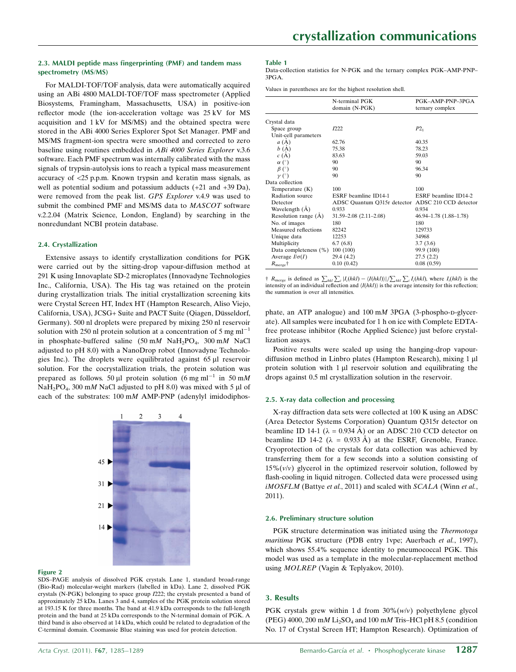## 2.3. MALDI peptide mass fingerprinting (PMF) and tandem mass spectrometry (MS/MS)

For MALDI-TOF/TOF analysis, data were automatically acquired using an ABi 4800 MALDI-TOF/TOF mass spectrometer (Applied Biosystems, Framingham, Massachusetts, USA) in positive-ion reflector mode (the ion-acceleration voltage was 25 kV for MS acquisition and 1 kV for MS/MS) and the obtained spectra were stored in the ABi 4000 Series Explorer Spot Set Manager. PMF and MS/MS fragment-ion spectra were smoothed and corrected to zero baseline using routines embedded in ABi 4000 Series Explorer v.3.6 software. Each PMF spectrum was internally calibrated with the mass signals of trypsin-autolysis ions to reach a typical mass measurement accuracy of <25 p.p.m. Known trypsin and keratin mass signals, as well as potential sodium and potassium adducts (+21 and +39 Da), were removed from the peak list. GPS Explorer v.4.9 was used to submit the combined PMF and MS/MS data to MASCOT software v.2.2.04 (Matrix Science, London, England) by searching in the nonredundant NCBI protein database.

## 2.4. Crystallization

Extensive assays to identify crystallization conditions for PGK were carried out by the sitting-drop vapour-diffusion method at 291 K using Innovaplate SD-2 microplates (Innovadyne Technologies Inc., California, USA). The His tag was retained on the protein during crystallization trials. The initial crystallization screening kits were Crystal Screen HT, Index HT (Hampton Research, Aliso Viejo, California, USA), JCSG+ Suite and PACT Suite (Qiagen, Düsseldorf, Germany). 500 nl droplets were prepared by mixing 250 nl reservoir solution with 250 nl protein solution at a concentration of 5 mg  $ml^{-1}$ in phosphate-buffered saline (50 mM NaH<sub>2</sub>PO<sub>4</sub>, 300 mM NaCl adjusted to pH 8.0) with a NanoDrop robot (Innovadyne Technologies Inc.). The droplets were equilibrated against 65 µl reservoir solution. For the cocrystallization trials, the protein solution was prepared as follows. 50 µl protein solution (6 mg ml<sup>-1</sup> in 50 mM  $NaH<sub>2</sub>PO<sub>4</sub>$ , 300 mM NaCl adjusted to pH 8.0) was mixed with 5 µl of each of the substrates:  $100 \text{ mM }$  AMP-PNP (adenylyl imidodiphos-



#### Figure 2

SDS–PAGE analysis of dissolved PGK crystals. Lane 1, standard broad-range (Bio-Rad) molecular-weight markers (labelled in kDa). Lane 2, dissolved PGK crystals (N-PGK) belonging to space group I222; the crystals presented a band of approximately 25 kDa. Lanes 3 and 4, samples of the PGK protein solution stored at 193.15 K for three months. The band at 41.9 kDa corresponds to the full-length protein and the band at 25 kDa corresponds to the N-terminal domain of PGK. A third band is also observed at 14 kDa, which could be related to degradation of the C-terminal domain. Coomassie Blue staining was used for protein detection.

#### Table 1

Data-collection statistics for N-PGK and the ternary complex PGK–AMP-PNP– 3PGA.

Values in parentheses are for the highest resolution shell.

|                           | N-terminal PGK<br>domain (N-PGK)                  | PGK-AMP-PNP-3PGA<br>ternary complex |
|---------------------------|---------------------------------------------------|-------------------------------------|
| Crystal data              |                                                   |                                     |
| Space group               | 1222                                              | $P2_1$                              |
| Unit-cell parameters      |                                                   |                                     |
| $a(\check{A})$            | 62.76                                             | 40.35                               |
| b(A)                      | 75.38                                             | 78.23                               |
| c(A)                      | 83.63                                             | 59.03                               |
| $\alpha$ (°)              | 90                                                | 90                                  |
| $\beta$ (°)               | 90                                                | 96.34                               |
| $\nu$ (°)                 | 90                                                | 90                                  |
| Data collection           |                                                   |                                     |
| Temperature (K)           | 100                                               | 100                                 |
| Radiation source          | ESRF beamline ID14-1                              | ESRF beamline ID14-2                |
| Detector                  | ADSC Quantum Q315r detector ADSC 210 CCD detector |                                     |
| Wavelength (A)            | 0.933                                             | 0.934                               |
| Resolution range (A)      | $31.59 - 2.08$ $(2.11 - 2.08)$                    | 46.94–1.78 (1.88–1.78)              |
| No. of images             | 180                                               | 180                                 |
| Measured reflections      | 82242                                             | 129733                              |
| Unique data               | 12253                                             | 34968                               |
| Multiplicity              | 6.7(6.8)                                          | 3.7(3.6)                            |
| Data completeness $(\% )$ | 100(100)                                          | 99.9 (100)                          |
| Average $I/\sigma(I)$     | 29.4 (4.2)                                        | 27.5(2.2)                           |
| $R_{\text{merge}}$ †      | 0.10(0.42)                                        | 0.08(0.59)                          |

†  $R_{\text{merge}}$  is defined as  $\sum_{hkl} \sum_i |I_i(hkl) - \langle I(hkl) \rangle| / \sum_{hkl} \sum_i I_i(hkl)$ , where  $I_i(hkl)$  is the intensity of an individual reflection and  $\langle I(hkl)\rangle$  is the average intensity for this reflection; the summation is over all intensities.

phate, an ATP analogue) and  $100 \text{ mM}$  3PGA (3-phospho-D-glycerate). All samples were incubated for 1 h on ice with Complete EDTAfree protease inhibitor (Roche Applied Science) just before crystallization assays.

Positive results were scaled up using the hanging-drop vapourdiffusion method in Linbro plates (Hampton Research), mixing 1 µl protein solution with  $1 \mu$ l reservoir solution and equilibrating the drops against 0.5 ml crystallization solution in the reservoir.

#### 2.5. X-ray data collection and processing

X-ray diffraction data sets were collected at 100 K using an ADSC (Area Detector Systems Corporation) Quantum Q315r detector on beamline ID 14-1 ( $\lambda = 0.934$  Å) or an ADSC 210 CCD detector on beamline ID 14-2 ( $\lambda = 0.933 \text{ Å}$ ) at the ESRF, Grenoble, France. Cryoprotection of the crystals for data collection was achieved by transferring them for a few seconds into a solution consisting of  $15\%$  ( $v/v$ ) glycerol in the optimized reservoir solution, followed by flash-cooling in liquid nitrogen. Collected data were processed using iMOSFLM (Battye et al., 2011) and scaled with SCALA (Winn et al., 2011).

#### 2.6. Preliminary structure solution

PGK structure determination was initiated using the *Thermotoga* maritima PGK structure (PDB entry 1vpe; Auerbach et al., 1997), which shows 55.4% sequence identity to pneumococcal PGK. This model was used as a template in the molecular-replacement method using MOLREP (Vagin & Teplyakov, 2010).

#### 3. Results

PGK crystals grew within 1 d from  $30\%$  (w/v) polyethylene glycol (PEG) 4000, 200 mM  $Li<sub>2</sub>SO<sub>4</sub>$  and 100 mM Tris–HCl pH 8.5 (condition No. 17 of Crystal Screen HT; Hampton Research). Optimization of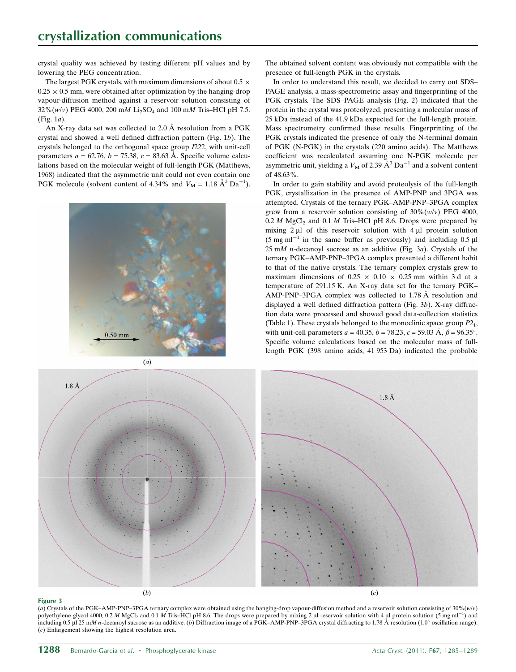crystal quality was achieved by testing different pH values and by lowering the PEG concentration.

The largest PGK crystals, with maximum dimensions of about  $0.5 \times$  $0.25 \times 0.5$  mm, were obtained after optimization by the hanging-drop vapour-diffusion method against a reservoir solution consisting of  $32\%$ (w/v) PEG 4000, 200 mM Li<sub>2</sub>SO<sub>4</sub> and 100 mM Tris–HCl pH 7.5. (Fig. 1a).

An X-ray data set was collected to  $2.0 \text{ Å}$  resolution from a PGK crystal and showed a well defined diffraction pattern (Fig. 1b). The crystals belonged to the orthogonal space group I222, with unit-cell parameters  $a = 62.76$ ,  $b = 75.38$ ,  $c = 83.63$  Å. Specific volume calculations based on the molecular weight of full-length PGK (Matthews, 1968) indicated that the asymmetric unit could not even contain one PGK molecule (solvent content of 4.34% and  $V_M = 1.18 \text{ Å}^3 \text{Da}^{-1}$ ).



The obtained solvent content was obviously not compatible with the presence of full-length PGK in the crystals.

In order to understand this result, we decided to carry out SDS– PAGE analysis, a mass-spectrometric assay and fingerprinting of the PGK crystals. The SDS–PAGE analysis (Fig. 2) indicated that the protein in the crystal was proteolyzed, presenting a molecular mass of 25 kDa instead of the 41.9 kDa expected for the full-length protein. Mass spectrometry confirmed these results. Fingerprinting of the PGK crystals indicated the presence of only the N-terminal domain of PGK (N-PGK) in the crystals (220 amino acids). The Matthews coefficient was recalculated assuming one N-PGK molecule per asymmetric unit, yielding a  $V_M$  of 2.39  $\AA^3$  Da<sup>-1</sup> and a solvent content of 48.63%.

In order to gain stability and avoid proteolysis of the full-length PGK, crystallization in the presence of AMP-PNP and 3PGA was attempted. Crystals of the ternary PGK–AMP-PNP–3PGA complex grew from a reservoir solution consisting of  $30\%$ (w/v) PEG 4000,  $0.2 M$  MgCl<sub>2</sub> and  $0.1 M$  Tris–HCl pH 8.6. Drops were prepared by mixing  $2 \mu l$  of this reservoir solution with  $4 \mu l$  protein solution (5 mg m $1^{-1}$  in the same buffer as previously) and including 0.5 µl 25 mM n-decanoyl sucrose as an additive (Fig. 3a). Crystals of the ternary PGK–AMP-PNP–3PGA complex presented a different habit to that of the native crystals. The ternary complex crystals grew to maximum dimensions of  $0.25 \times 0.10 \times 0.25$  mm within 3 d at a temperature of 291.15 K. An X-ray data set for the ternary PGK– AMP-PNP–3PGA complex was collected to 1.78 Å resolution and displayed a well defined diffraction pattern (Fig. 3b). X-ray diffraction data were processed and showed good data-collection statistics (Table 1). These crystals belonged to the monoclinic space group  $P2<sub>1</sub>$ , with unit-cell parameters  $a = 40.35$ ,  $b = 78.23$ ,  $c = 59.03 \text{ Å}$ ,  $\beta = 96.35^{\circ}$ . Specific volume calculations based on the molecular mass of fulllength PGK (398 amino acids, 41 953 Da) indicated the probable



#### Figure 3

(a) Crystals of the PGK–AMP-PNP–3PGA ternary complex were obtained using the hanging-drop vapour-diffusion method and a reservoir solution consisting of  $30\% (w/v)$ polyethylene glycol 4000, 0.2 M MgCl<sub>2</sub> and 0.1 M Tris–HCl pH 8.6. The drops were prepared by mixing 2 µl reservoir solution with 4 µl protein solution (5 mg ml<sup>-1</sup>) and including 0.5 µ 25 mM n-decanoyl sucrose as an additive. (b) Diffraction image of a PGK–AMP-PNP–3PGA crystal diffracting to 1.78 Å resolution (1.0° oscillation range). (c) Enlargement showing the highest resolution area.